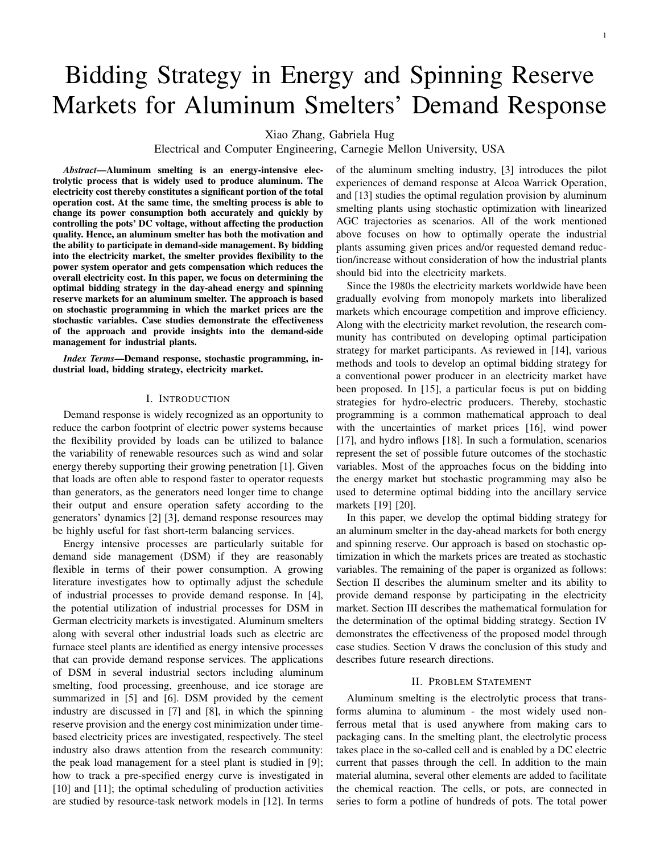# Bidding Strategy in Energy and Spinning Reserve Markets for Aluminum Smelters' Demand Response

Xiao Zhang, Gabriela Hug

Electrical and Computer Engineering, Carnegie Mellon University, USA

*Abstract*—Aluminum smelting is an energy-intensive electrolytic process that is widely used to produce aluminum. The electricity cost thereby constitutes a significant portion of the total operation cost. At the same time, the smelting process is able to change its power consumption both accurately and quickly by controlling the pots' DC voltage, without affecting the production quality. Hence, an aluminum smelter has both the motivation and the ability to participate in demand-side management. By bidding into the electricity market, the smelter provides flexibility to the power system operator and gets compensation which reduces the overall electricity cost. In this paper, we focus on determining the optimal bidding strategy in the day-ahead energy and spinning reserve markets for an aluminum smelter. The approach is based on stochastic programming in which the market prices are the stochastic variables. Case studies demonstrate the effectiveness of the approach and provide insights into the demand-side management for industrial plants.

*Index Terms*—Demand response, stochastic programming, industrial load, bidding strategy, electricity market.

## I. INTRODUCTION

Demand response is widely recognized as an opportunity to reduce the carbon footprint of electric power systems because the flexibility provided by loads can be utilized to balance the variability of renewable resources such as wind and solar energy thereby supporting their growing penetration [1]. Given that loads are often able to respond faster to operator requests than generators, as the generators need longer time to change their output and ensure operation safety according to the generators' dynamics [2] [3], demand response resources may be highly useful for fast short-term balancing services.

Energy intensive processes are particularly suitable for demand side management (DSM) if they are reasonably flexible in terms of their power consumption. A growing literature investigates how to optimally adjust the schedule of industrial processes to provide demand response. In [4], the potential utilization of industrial processes for DSM in German electricity markets is investigated. Aluminum smelters along with several other industrial loads such as electric arc furnace steel plants are identified as energy intensive processes that can provide demand response services. The applications of DSM in several industrial sectors including aluminum smelting, food processing, greenhouse, and ice storage are summarized in [5] and [6]. DSM provided by the cement industry are discussed in [7] and [8], in which the spinning reserve provision and the energy cost minimization under timebased electricity prices are investigated, respectively. The steel industry also draws attention from the research community: the peak load management for a steel plant is studied in [9]; how to track a pre-specified energy curve is investigated in [10] and [11]; the optimal scheduling of production activities are studied by resource-task network models in [12]. In terms

of the aluminum smelting industry, [3] introduces the pilot experiences of demand response at Alcoa Warrick Operation, and [13] studies the optimal regulation provision by aluminum smelting plants using stochastic optimization with linearized AGC trajectories as scenarios. All of the work mentioned above focuses on how to optimally operate the industrial plants assuming given prices and/or requested demand reduction/increase without consideration of how the industrial plants should bid into the electricity markets.

Since the 1980s the electricity markets worldwide have been gradually evolving from monopoly markets into liberalized markets which encourage competition and improve efficiency. Along with the electricity market revolution, the research community has contributed on developing optimal participation strategy for market participants. As reviewed in [14], various methods and tools to develop an optimal bidding strategy for a conventional power producer in an electricity market have been proposed. In [15], a particular focus is put on bidding strategies for hydro-electric producers. Thereby, stochastic programming is a common mathematical approach to deal with the uncertainties of market prices [16], wind power [17], and hydro inflows [18]. In such a formulation, scenarios represent the set of possible future outcomes of the stochastic variables. Most of the approaches focus on the bidding into the energy market but stochastic programming may also be used to determine optimal bidding into the ancillary service markets [19] [20].

In this paper, we develop the optimal bidding strategy for an aluminum smelter in the day-ahead markets for both energy and spinning reserve. Our approach is based on stochastic optimization in which the markets prices are treated as stochastic variables. The remaining of the paper is organized as follows: Section II describes the aluminum smelter and its ability to provide demand response by participating in the electricity market. Section III describes the mathematical formulation for the determination of the optimal bidding strategy. Section IV demonstrates the effectiveness of the proposed model through case studies. Section V draws the conclusion of this study and describes future research directions.

## II. PROBLEM STATEMENT

Aluminum smelting is the electrolytic process that transforms alumina to aluminum - the most widely used nonferrous metal that is used anywhere from making cars to packaging cans. In the smelting plant, the electrolytic process takes place in the so-called cell and is enabled by a DC electric current that passes through the cell. In addition to the main material alumina, several other elements are added to facilitate the chemical reaction. The cells, or pots, are connected in series to form a potline of hundreds of pots. The total power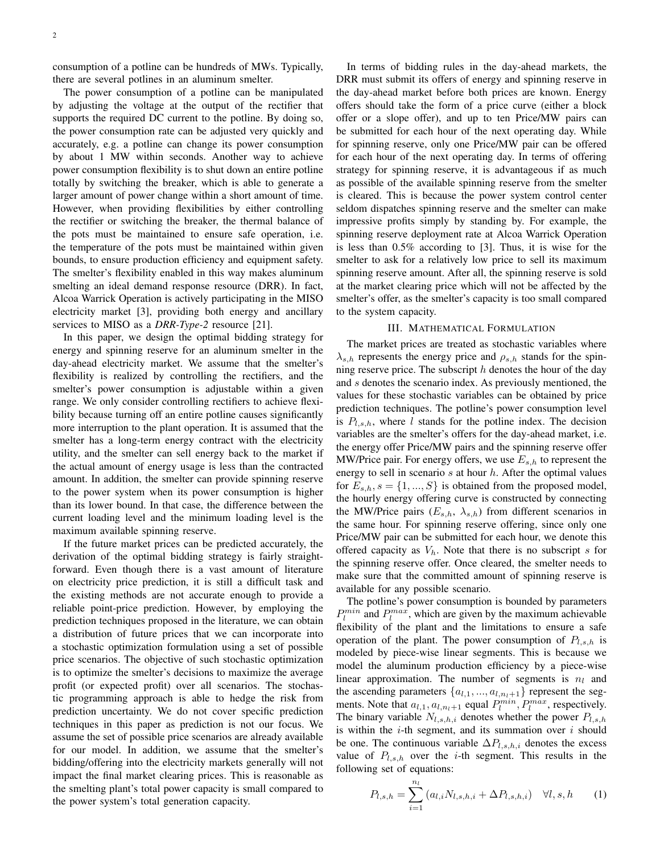consumption of a potline can be hundreds of MWs. Typically, there are several potlines in an aluminum smelter.

The power consumption of a potline can be manipulated by adjusting the voltage at the output of the rectifier that supports the required DC current to the potline. By doing so, the power consumption rate can be adjusted very quickly and accurately, e.g. a potline can change its power consumption by about 1 MW within seconds. Another way to achieve power consumption flexibility is to shut down an entire potline totally by switching the breaker, which is able to generate a larger amount of power change within a short amount of time. However, when providing flexibilities by either controlling the rectifier or switching the breaker, the thermal balance of the pots must be maintained to ensure safe operation, i.e. the temperature of the pots must be maintained within given bounds, to ensure production efficiency and equipment safety. The smelter's flexibility enabled in this way makes aluminum smelting an ideal demand response resource (DRR). In fact, Alcoa Warrick Operation is actively participating in the MISO electricity market [3], providing both energy and ancillary services to MISO as a *DRR-Type-2* resource [21].

In this paper, we design the optimal bidding strategy for energy and spinning reserve for an aluminum smelter in the day-ahead electricity market. We assume that the smelter's flexibility is realized by controlling the rectifiers, and the smelter's power consumption is adjustable within a given range. We only consider controlling rectifiers to achieve flexibility because turning off an entire potline causes significantly more interruption to the plant operation. It is assumed that the smelter has a long-term energy contract with the electricity utility, and the smelter can sell energy back to the market if the actual amount of energy usage is less than the contracted amount. In addition, the smelter can provide spinning reserve to the power system when its power consumption is higher than its lower bound. In that case, the difference between the current loading level and the minimum loading level is the maximum available spinning reserve.

If the future market prices can be predicted accurately, the derivation of the optimal bidding strategy is fairly straightforward. Even though there is a vast amount of literature on electricity price prediction, it is still a difficult task and the existing methods are not accurate enough to provide a reliable point-price prediction. However, by employing the prediction techniques proposed in the literature, we can obtain a distribution of future prices that we can incorporate into a stochastic optimization formulation using a set of possible price scenarios. The objective of such stochastic optimization is to optimize the smelter's decisions to maximize the average profit (or expected profit) over all scenarios. The stochastic programming approach is able to hedge the risk from prediction uncertainty. We do not cover specific prediction techniques in this paper as prediction is not our focus. We assume the set of possible price scenarios are already available for our model. In addition, we assume that the smelter's bidding/offering into the electricity markets generally will not impact the final market clearing prices. This is reasonable as the smelting plant's total power capacity is small compared to the power system's total generation capacity.

In terms of bidding rules in the day-ahead markets, the DRR must submit its offers of energy and spinning reserve in the day-ahead market before both prices are known. Energy offers should take the form of a price curve (either a block offer or a slope offer), and up to ten Price/MW pairs can be submitted for each hour of the next operating day. While for spinning reserve, only one Price/MW pair can be offered for each hour of the next operating day. In terms of offering strategy for spinning reserve, it is advantageous if as much as possible of the available spinning reserve from the smelter is cleared. This is because the power system control center seldom dispatches spinning reserve and the smelter can make impressive profits simply by standing by. For example, the spinning reserve deployment rate at Alcoa Warrick Operation is less than 0.5% according to [3]. Thus, it is wise for the smelter to ask for a relatively low price to sell its maximum spinning reserve amount. After all, the spinning reserve is sold at the market clearing price which will not be affected by the smelter's offer, as the smelter's capacity is too small compared to the system capacity.

## III. MATHEMATICAL FORMULATION

The market prices are treated as stochastic variables where  $\lambda_{s,h}$  represents the energy price and  $\rho_{s,h}$  stands for the spinning reserve price. The subscript  $h$  denotes the hour of the day and s denotes the scenario index. As previously mentioned, the values for these stochastic variables can be obtained by price prediction techniques. The potline's power consumption level is  $P_{l,s,h}$ , where l stands for the potline index. The decision variables are the smelter's offers for the day-ahead market, i.e. the energy offer Price/MW pairs and the spinning reserve offer MW/Price pair. For energy offers, we use  $E_{s,h}$  to represent the energy to sell in scenario  $s$  at hour  $h$ . After the optimal values for  $E_{s,h}$ ,  $s = \{1, ..., S\}$  is obtained from the proposed model, the hourly energy offering curve is constructed by connecting the MW/Price pairs  $(E_{s,h}, \lambda_{s,h})$  from different scenarios in the same hour. For spinning reserve offering, since only one Price/MW pair can be submitted for each hour, we denote this offered capacity as  $V<sub>h</sub>$ . Note that there is no subscript s for the spinning reserve offer. Once cleared, the smelter needs to make sure that the committed amount of spinning reserve is available for any possible scenario.

The potline's power consumption is bounded by parameters  $P_l^{min}$  and  $P_l^{max}$ , which are given by the maximum achievable flexibility of the plant and the limitations to ensure a safe operation of the plant. The power consumption of  $P_{l,s,h}$  is modeled by piece-wise linear segments. This is because we model the aluminum production efficiency by a piece-wise linear approximation. The number of segments is  $n_l$  and the ascending parameters  $\{a_{l,1},...,a_{l,n_l+1}\}$  represent the segments. Note that  $a_{l,1}, a_{l,n_l+1}$  equal  $P_l^{min}, P_l^{max}$ , respectively. The binary variable  $N_{l,s,h,i}$  denotes whether the power  $P_{l,s,h}$ is within the  $i$ -th segment, and its summation over  $i$  should be one. The continuous variable  $\Delta P_{l,s,h,i}$  denotes the excess value of  $P_{l,s,h}$  over the *i*-th segment. This results in the following set of equations:

$$
P_{l,s,h} = \sum_{i=1}^{n_l} (a_{l,i} N_{l,s,h,i} + \Delta P_{l,s,h,i}) \quad \forall l, s, h \tag{1}
$$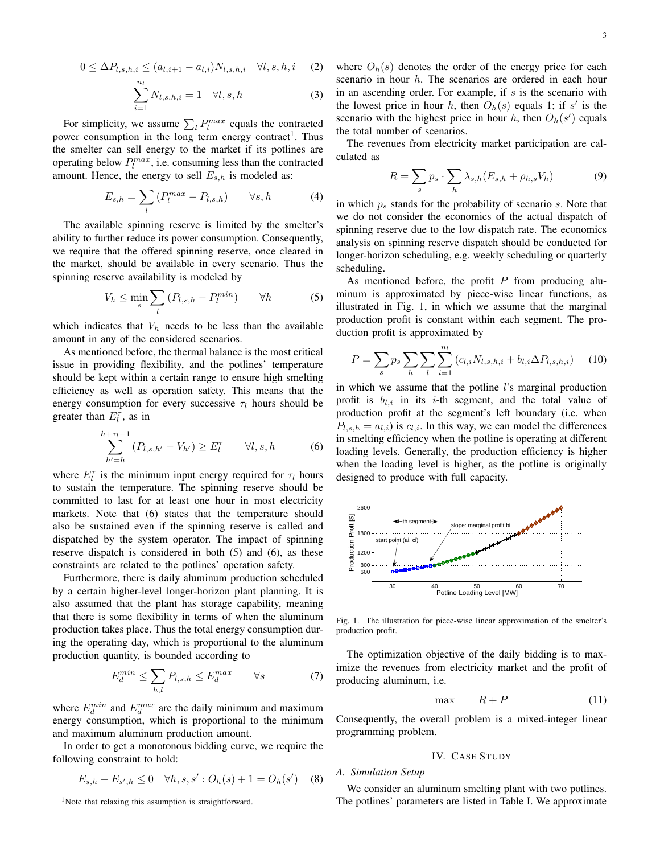$$
0 \leq \Delta P_{l,s,h,i} \leq (a_{l,i+1} - a_{l,i}) N_{l,s,h,i} \quad \forall l, s, h, i \quad (2)
$$

$$
\sum_{i=1}^{n_l} N_{l,s,h,i} = 1 \quad \forall l, s, h \quad (3)
$$

For simplicity, we assume  $\sum_{l} P_l^{max}$  equals the contracted power consumption in the long term energy contract<sup>1</sup>. Thus the smelter can sell energy to the market if its potlines are operating below  $P_l^{max}$ , i.e. consuming less than the contracted amount. Hence, the energy to sell  $E_{s,h}$  is modeled as:

$$
E_{s,h} = \sum_{l} \left( P_l^{max} - P_{l,s,h} \right) \qquad \forall s, h \tag{4}
$$

The available spinning reserve is limited by the smelter's ability to further reduce its power consumption. Consequently, we require that the offered spinning reserve, once cleared in the market, should be available in every scenario. Thus the spinning reserve availability is modeled by

$$
V_h \le \min_s \sum_l (P_{l,s,h} - P_l^{min}) \qquad \forall h \tag{5}
$$

which indicates that  $V_h$  needs to be less than the available amount in any of the considered scenarios.

As mentioned before, the thermal balance is the most critical issue in providing flexibility, and the potlines' temperature should be kept within a certain range to ensure high smelting efficiency as well as operation safety. This means that the energy consumption for every successive  $\tau_l$  hours should be greater than  $E_l^{\tau}$ , as in

$$
\sum_{h'=h}^{h+\tau_l-1} (P_{l,s,h'} - V_{h'}) \ge E_l^{\tau} \qquad \forall l, s, h \tag{6}
$$

where  $E_l^{\tau}$  is the minimum input energy required for  $\tau_l$  hours to sustain the temperature. The spinning reserve should be committed to last for at least one hour in most electricity markets. Note that (6) states that the temperature should also be sustained even if the spinning reserve is called and dispatched by the system operator. The impact of spinning reserve dispatch is considered in both (5) and (6), as these constraints are related to the potlines' operation safety.

Furthermore, there is daily aluminum production scheduled by a certain higher-level longer-horizon plant planning. It is also assumed that the plant has storage capability, meaning that there is some flexibility in terms of when the aluminum production takes place. Thus the total energy consumption during the operating day, which is proportional to the aluminum production quantity, is bounded according to

$$
E_d^{min} \le \sum_{h,l} P_{l,s,h} \le E_d^{max} \qquad \forall s \tag{7}
$$

where  $E_d^{min}$  and  $E_d^{max}$  are the daily minimum and maximum energy consumption, which is proportional to the minimum and maximum aluminum production amount.

In order to get a monotonous bidding curve, we require the following constraint to hold:

$$
E_{s,h} - E_{s',h} \le 0 \quad \forall h, s, s' : O_h(s) + 1 = O_h(s') \quad (8)
$$

<sup>1</sup>Note that relaxing this assumption is straightforward.

where  $O_h(s)$  denotes the order of the energy price for each scenario in hour h. The scenarios are ordered in each hour in an ascending order. For example, if  $s$  is the scenario with the lowest price in hour h, then  $O_h(s)$  equals 1; if s' is the scenario with the highest price in hour h, then  $O_h(s')$  equals the total number of scenarios.

The revenues from electricity market participation are calculated as

$$
R = \sum_{s} p_s \cdot \sum_{h} \lambda_{s,h} (E_{s,h} + \rho_{h,s} V_h)
$$
 (9)

in which  $p_s$  stands for the probability of scenario s. Note that we do not consider the economics of the actual dispatch of spinning reserve due to the low dispatch rate. The economics analysis on spinning reserve dispatch should be conducted for longer-horizon scheduling, e.g. weekly scheduling or quarterly scheduling.

As mentioned before, the profit  $P$  from producing aluminum is approximated by piece-wise linear functions, as illustrated in Fig. 1, in which we assume that the marginal production profit is constant within each segment. The production profit is approximated by

$$
P = \sum_{s} p_s \sum_{h} \sum_{l} \sum_{i=1}^{n_l} (c_{l,i} N_{l,s,h,i} + b_{l,i} \Delta P_{l,s,h,i}) \tag{10}
$$

in which we assume that the potline l's marginal production profit is  $b_{l,i}$  in its *i*-th segment, and the total value of production profit at the segment's left boundary (i.e. when  $P_{l,s,h} = a_{l,i}$ ) is  $c_{l,i}$ . In this way, we can model the differences in smelting efficiency when the potline is operating at different loading levels. Generally, the production efficiency is higher when the loading level is higher, as the potline is originally designed to produce with full capacity.



Fig. 1. The illustration for piece-wise linear approximation of the smelter's production profit.

The optimization objective of the daily bidding is to maximize the revenues from electricity market and the profit of producing aluminum, i.e.

$$
\max \qquad R + P \tag{11}
$$

Consequently, the overall problem is a mixed-integer linear programming problem.

## IV. CASE STUDY

#### *A. Simulation Setup*

We consider an aluminum smelting plant with two potlines. The potlines' parameters are listed in Table I. We approximate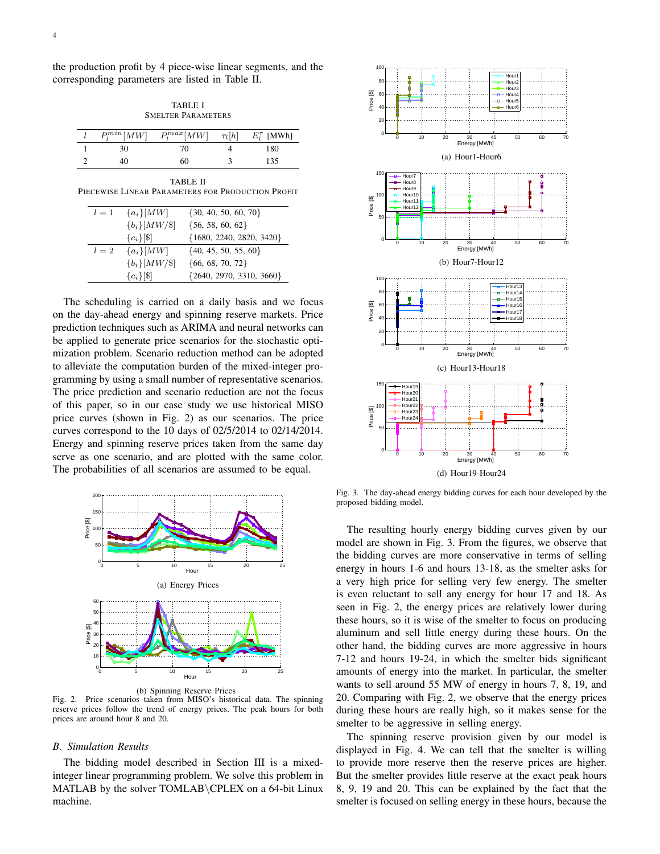the production profit by 4 piece-wise linear segments, and the corresponding parameters are listed in Table II.

TABLE I SMELTER PARAMETERS

| $P^{min}_i[MW]$ | $P^{max}_{i}[MW]$ | $\tau_l[h]$ | $E_1^{\tau}$ [MWh] |
|-----------------|-------------------|-------------|--------------------|
| 30              |                   |             | 180                |
| 40              | 60                |             | 135                |

TABLE II PIECEWISE LINEAR PARAMETERS FOR PRODUCTION PROFIT

| $l=1$ | ${a_i}[MW]$           | $\{30, 40, 50, 60, 70\}$   |
|-------|-----------------------|----------------------------|
|       | ${b_i}[MW/\$          | ${56, 58, 60, 62}$         |
|       | ${c_i}$ [\\$]         | ${1680, 2240, 2820, 3420}$ |
| $l=2$ | ${a_i}$ [ <i>MW</i> ] | $\{40, 45, 50, 55, 60\}$   |
|       | ${b_i}[MW/\$          | $\{66, 68, 70, 72\}$       |
|       | ${c_i}$ [\$]          | ${2640, 2970, 3310, 3660}$ |

The scheduling is carried on a daily basis and we focus on the day-ahead energy and spinning reserve markets. Price prediction techniques such as ARIMA and neural networks can be applied to generate price scenarios for the stochastic optimization problem. Scenario reduction method can be adopted to alleviate the computation burden of the mixed-integer programming by using a small number of representative scenarios. The price prediction and scenario reduction are not the focus of this paper, so in our case study we use historical MISO price curves (shown in Fig. 2) as our scenarios. The price curves correspond to the 10 days of 02/5/2014 to 02/14/2014. Energy and spinning reserve prices taken from the same day serve as one scenario, and are plotted with the same color. The probabilities of all scenarios are assumed to be equal.



Fig. 2. Price scenarios taken from MISO's historical data. The spinning reserve prices follow the trend of energy prices. The peak hours for both prices are around hour 8 and 20.

## *B. Simulation Results*

The bidding model described in Section III is a mixedinteger linear programming problem. We solve this problem in MATLAB by the solver TOMLAB\CPLEX on a 64-bit Linux machine.



Fig. 3. The day-ahead energy bidding curves for each hour developed by the proposed bidding model.

The resulting hourly energy bidding curves given by our model are shown in Fig. 3. From the figures, we observe that the bidding curves are more conservative in terms of selling energy in hours 1-6 and hours 13-18, as the smelter asks for a very high price for selling very few energy. The smelter is even reluctant to sell any energy for hour 17 and 18. As seen in Fig. 2, the energy prices are relatively lower during these hours, so it is wise of the smelter to focus on producing aluminum and sell little energy during these hours. On the other hand, the bidding curves are more aggressive in hours 7-12 and hours 19-24, in which the smelter bids significant amounts of energy into the market. In particular, the smelter wants to sell around 55 MW of energy in hours 7, 8, 19, and 20. Comparing with Fig. 2, we observe that the energy prices during these hours are really high, so it makes sense for the smelter to be aggressive in selling energy.

The spinning reserve provision given by our model is displayed in Fig. 4. We can tell that the smelter is willing to provide more reserve then the reserve prices are higher. But the smelter provides little reserve at the exact peak hours 8, 9, 19 and 20. This can be explained by the fact that the smelter is focused on selling energy in these hours, because the